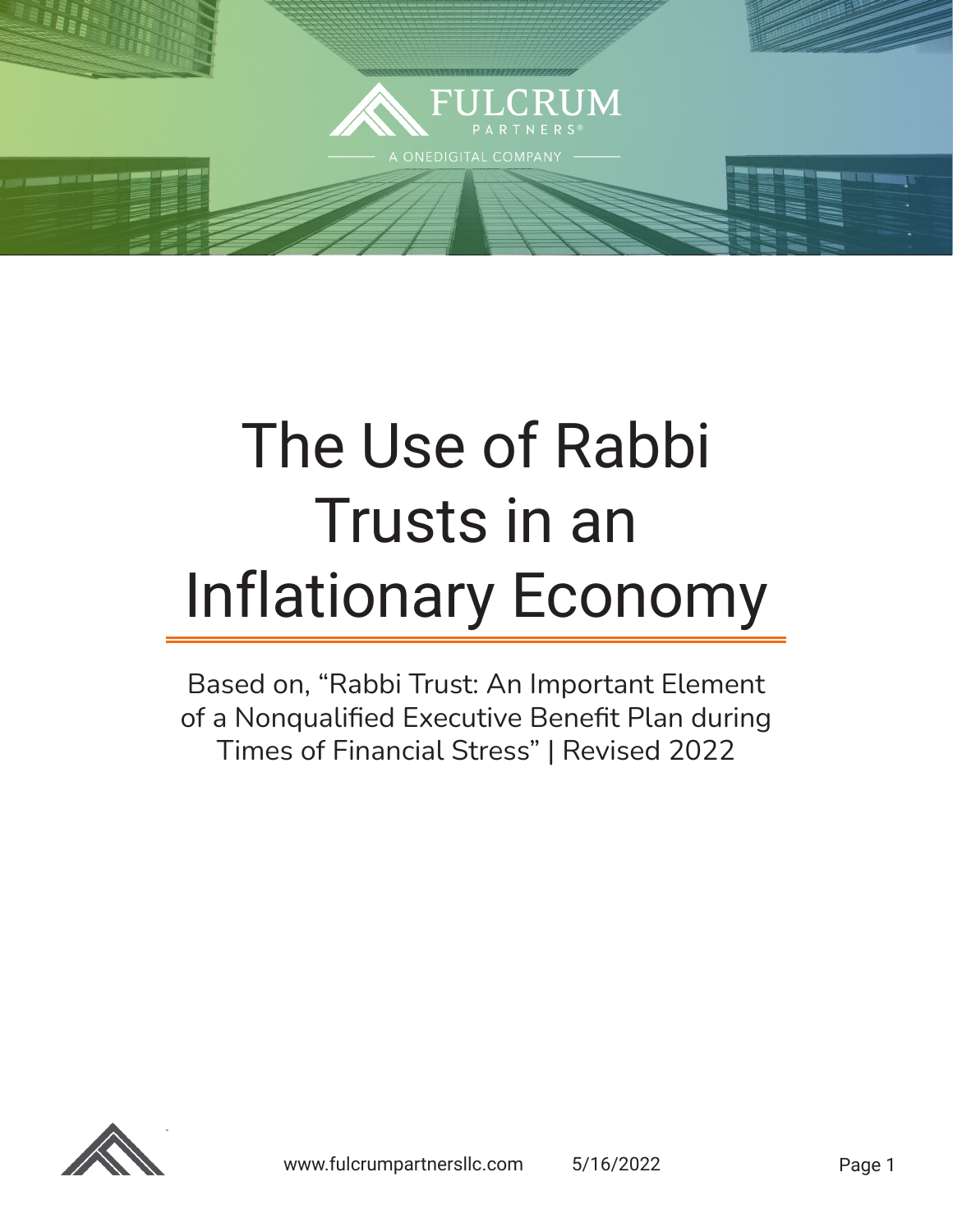

# The Use of Rabbi Trusts in an Inflationary Economy

Based on, "Rabbi Trust: An Important Element of a Nonqualified Executive Benefit Plan during Times of Financial Stress" | Revised 2022

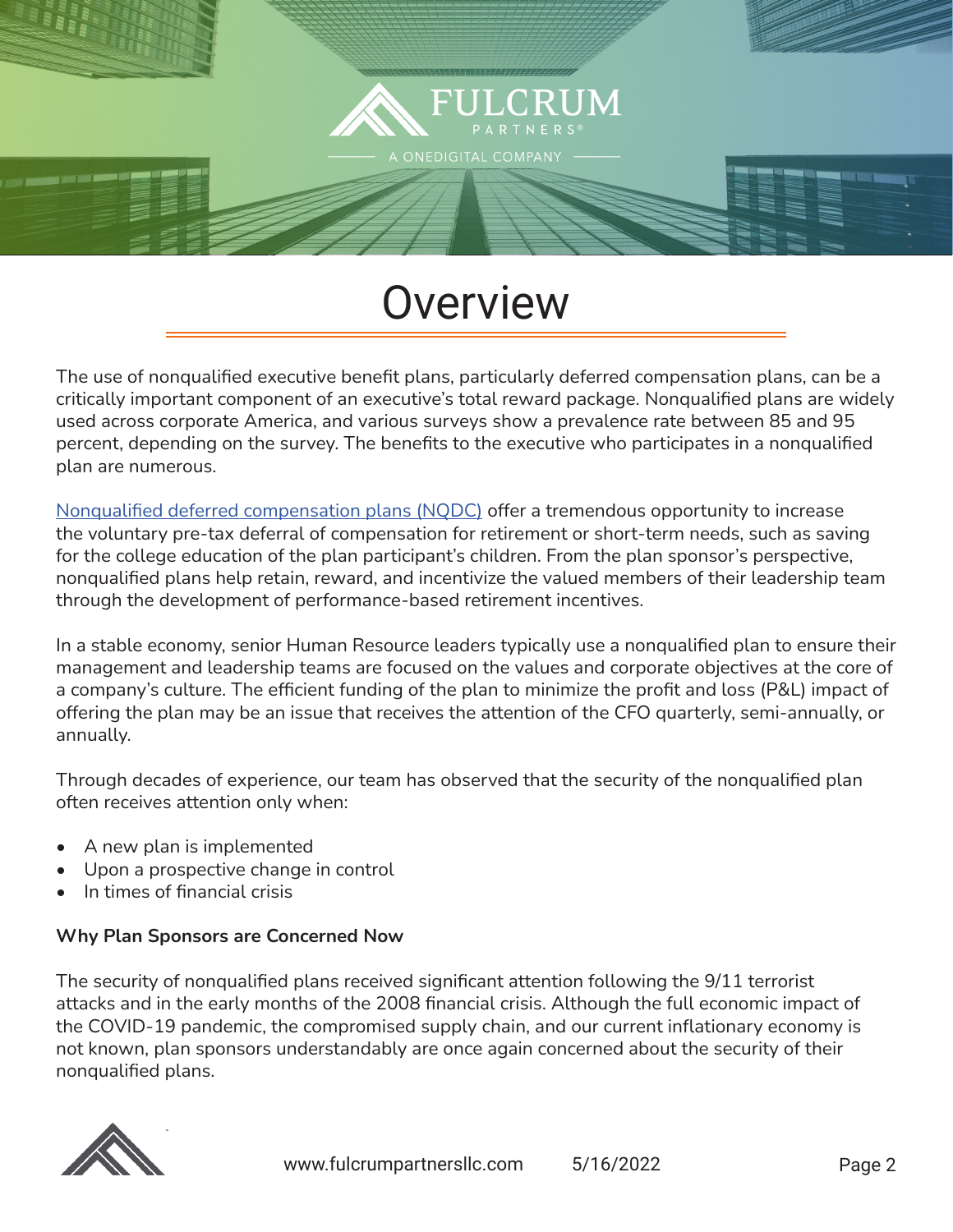

## **Overview**

The use of nonqualified executive benefit plans, particularly deferred compensation plans, can be a critically important component of an executive's total reward package. Nonqualified plans are widely used across corporate America, and various surveys show a prevalence rate between 85 and 95 percent, depending on the survey. The benefits to the executive who participates in a nonqualified plan are numerous.

[Nonqualified deferred compensation plans \(NQDC\)](https://fulcrumpartnersllc.com/409a-nonqualified-deferred-compensation/) offer a tremendous opportunity to increase the voluntary pre-tax deferral of compensation for retirement or short-term needs, such as saving for the college education of the plan participant's children. From the plan sponsor's perspective, nonqualified plans help retain, reward, and incentivize the valued members of their leadership team through the development of performance-based retirement incentives.

In a stable economy, senior Human Resource leaders typically use a nonqualified plan to ensure their management and leadership teams are focused on the values and corporate objectives at the core of a company's culture. The efficient funding of the plan to minimize the profit and loss (P&L) impact of offering the plan may be an issue that receives the attention of the CFO quarterly, semi-annually, or annually.

Through decades of experience, our team has observed that the security of the nonqualified plan often receives attention only when:

- A new plan is implemented
- Upon a prospective change in control
- In times of financial crisis

#### **Why Plan Sponsors are Concerned Now**

The security of nonqualified plans received significant attention following the 9/11 terrorist attacks and in the early months of the 2008 financial crisis. Although the full economic impact of the COVID-19 pandemic, the compromised supply chain, and our current inflationary economy is not known, plan sponsors understandably are once again concerned about the security of their nonqualified plans.

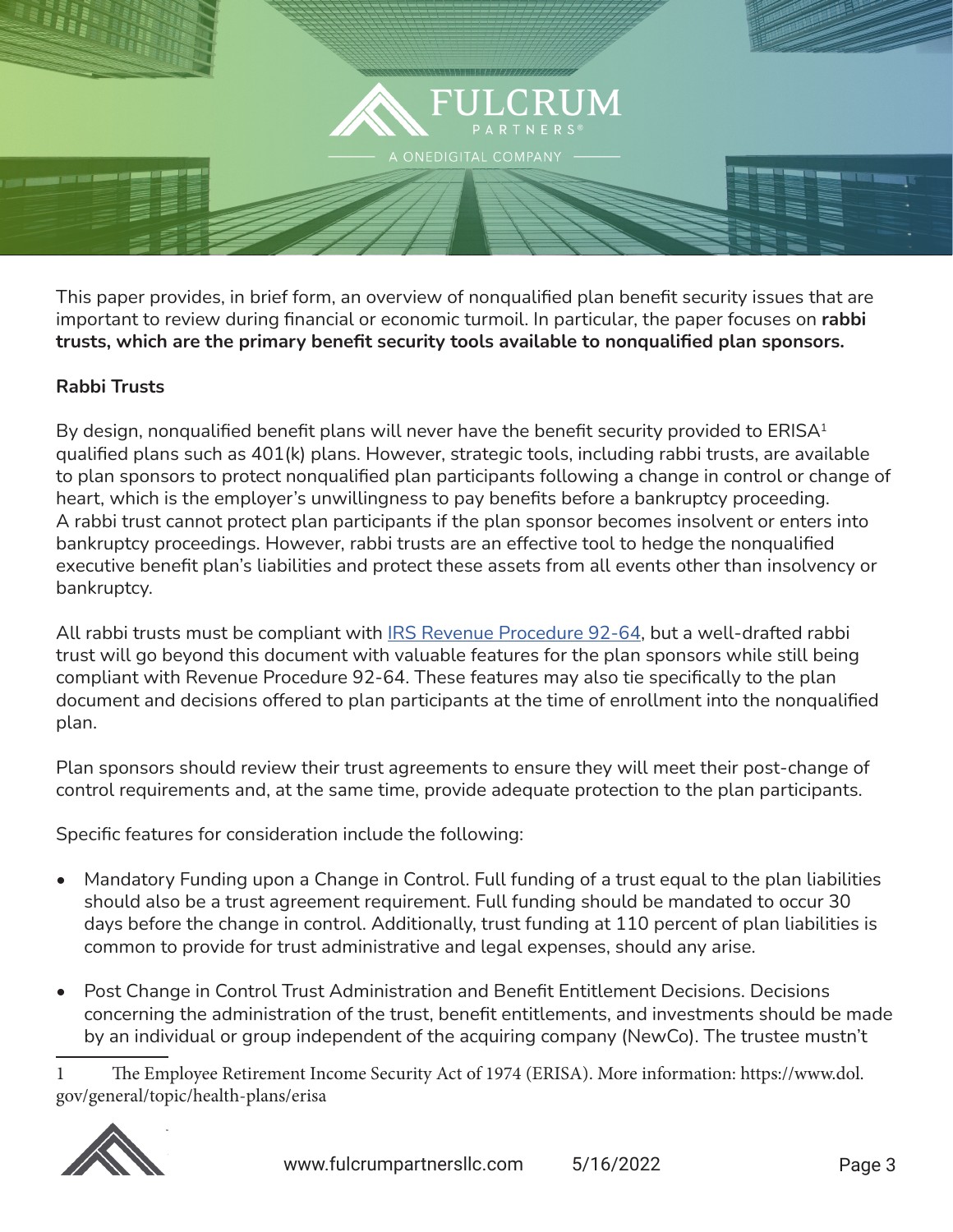

This paper provides, in brief form, an overview of nonqualified plan benefit security issues that are important to review during financial or economic turmoil. In particular, the paper focuses on **rabbi trusts, which are the primary benefit security tools available to nonqualified plan sponsors.**

#### **Rabbi Trusts**

By design, nonqualified benefit plans will never have the benefit security provided to  $ERISA<sup>1</sup>$ qualified plans such as 401(k) plans. However, strategic tools, including rabbi trusts, are available to plan sponsors to protect nonqualified plan participants following a change in control or change of heart, which is the employer's unwillingness to pay benefits before a bankruptcy proceeding. A rabbi trust cannot protect plan participants if the plan sponsor becomes insolvent or enters into bankruptcy proceedings. However, rabbi trusts are an effective tool to hedge the nonqualified executive benefit plan's liabilities and protect these assets from all events other than insolvency or bankruptcy.

All rabbi trusts must be compliant with **IRS Revenue Procedure 92-64**, but a well-drafted rabbi trust will go beyond this document with valuable features for the plan sponsors while still being compliant with Revenue Procedure 92-64. These features may also tie specifically to the plan document and decisions offered to plan participants at the time of enrollment into the nonqualified plan.

Plan sponsors should review their trust agreements to ensure they will meet their post-change of control requirements and, at the same time, provide adequate protection to the plan participants.

Specific features for consideration include the following:

- Mandatory Funding upon a Change in Control. Full funding of a trust equal to the plan liabilities should also be a trust agreement requirement. Full funding should be mandated to occur 30 days before the change in control. Additionally, trust funding at 110 percent of plan liabilities is common to provide for trust administrative and legal expenses, should any arise.
- Post Change in Control Trust Administration and Benefit Entitlement Decisions. Decisions concerning the administration of the trust, benefit entitlements, and investments should be made by an individual or group independent of the acquiring company (NewCo). The trustee mustn't

1 The Employee Retirement Income Security Act of 1974 (ERISA). More information: https://www.dol. gov/general/topic/health-plans/erisa

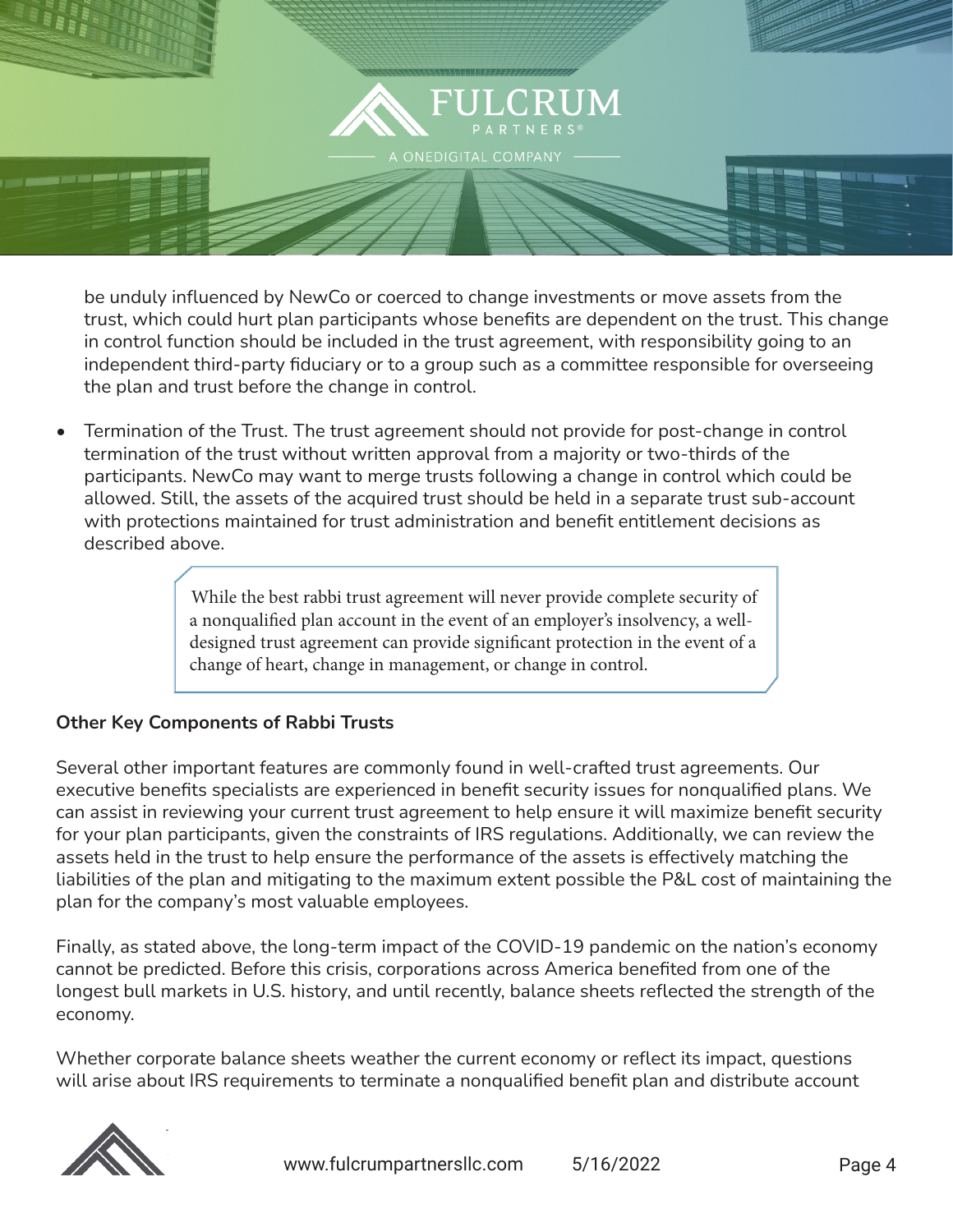

be unduly influenced by NewCo or coerced to change investments or move assets from the trust, which could hurt plan participants whose benefits are dependent on the trust. This change in control function should be included in the trust agreement, with responsibility going to an independent third-party fiduciary or to a group such as a committee responsible for overseeing the plan and trust before the change in control.

• Termination of the Trust. The trust agreement should not provide for post-change in control termination of the trust without written approval from a majority or two-thirds of the participants. NewCo may want to merge trusts following a change in control which could be allowed. Still, the assets of the acquired trust should be held in a separate trust sub-account with protections maintained for trust administration and benefit entitlement decisions as described above.

> While the best rabbi trust agreement will never provide complete security of a nonqualified plan account in the event of an employer's insolvency, a welldesigned trust agreement can provide significant protection in the event of a change of heart, change in management, or change in control.

#### **Other Key Components of Rabbi Trusts**

Several other important features are commonly found in well-crafted trust agreements. Our executive benefits specialists are experienced in benefit security issues for nonqualified plans. We can assist in reviewing your current trust agreement to help ensure it will maximize benefit security for your plan participants, given the constraints of IRS regulations. Additionally, we can review the assets held in the trust to help ensure the performance of the assets is effectively matching the liabilities of the plan and mitigating to the maximum extent possible the P&L cost of maintaining the plan for the company's most valuable employees.

Finally, as stated above, the long-term impact of the COVID-19 pandemic on the nation's economy cannot be predicted. Before this crisis, corporations across America benefited from one of the longest bull markets in U.S. history, and until recently, balance sheets reflected the strength of the economy.

Whether corporate balance sheets weather the current economy or reflect its impact, questions will arise about IRS requirements to terminate a nonqualified benefit plan and distribute account

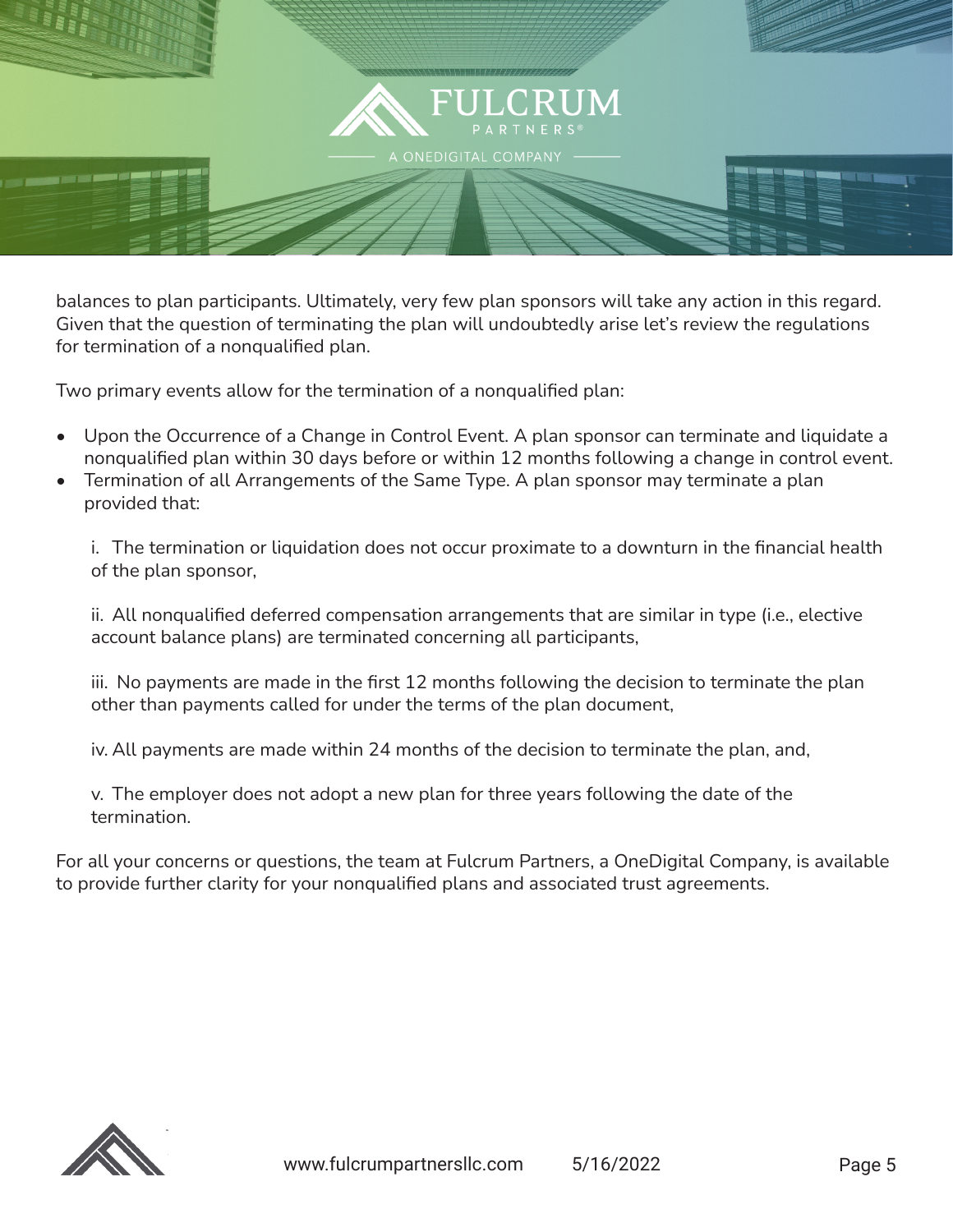

balances to plan participants. Ultimately, very few plan sponsors will take any action in this regard. Given that the question of terminating the plan will undoubtedly arise let's review the regulations for termination of a nonqualified plan.

Two primary events allow for the termination of a nonqualified plan:

- Upon the Occurrence of a Change in Control Event. A plan sponsor can terminate and liquidate a nonqualified plan within 30 days before or within 12 months following a change in control event.
- Termination of all Arrangements of the Same Type. A plan sponsor may terminate a plan provided that:

i. The termination or liquidation does not occur proximate to a downturn in the financial health of the plan sponsor,

ii. All nonqualified deferred compensation arrangements that are similar in type (i.e., elective account balance plans) are terminated concerning all participants,

iii. No payments are made in the first 12 months following the decision to terminate the plan other than payments called for under the terms of the plan document,

iv. All payments are made within 24 months of the decision to terminate the plan, and,

v. The employer does not adopt a new plan for three years following the date of the termination.

For all your concerns or questions, the team at Fulcrum Partners, a OneDigital Company, is available to provide further clarity for your nonqualified plans and associated trust agreements.

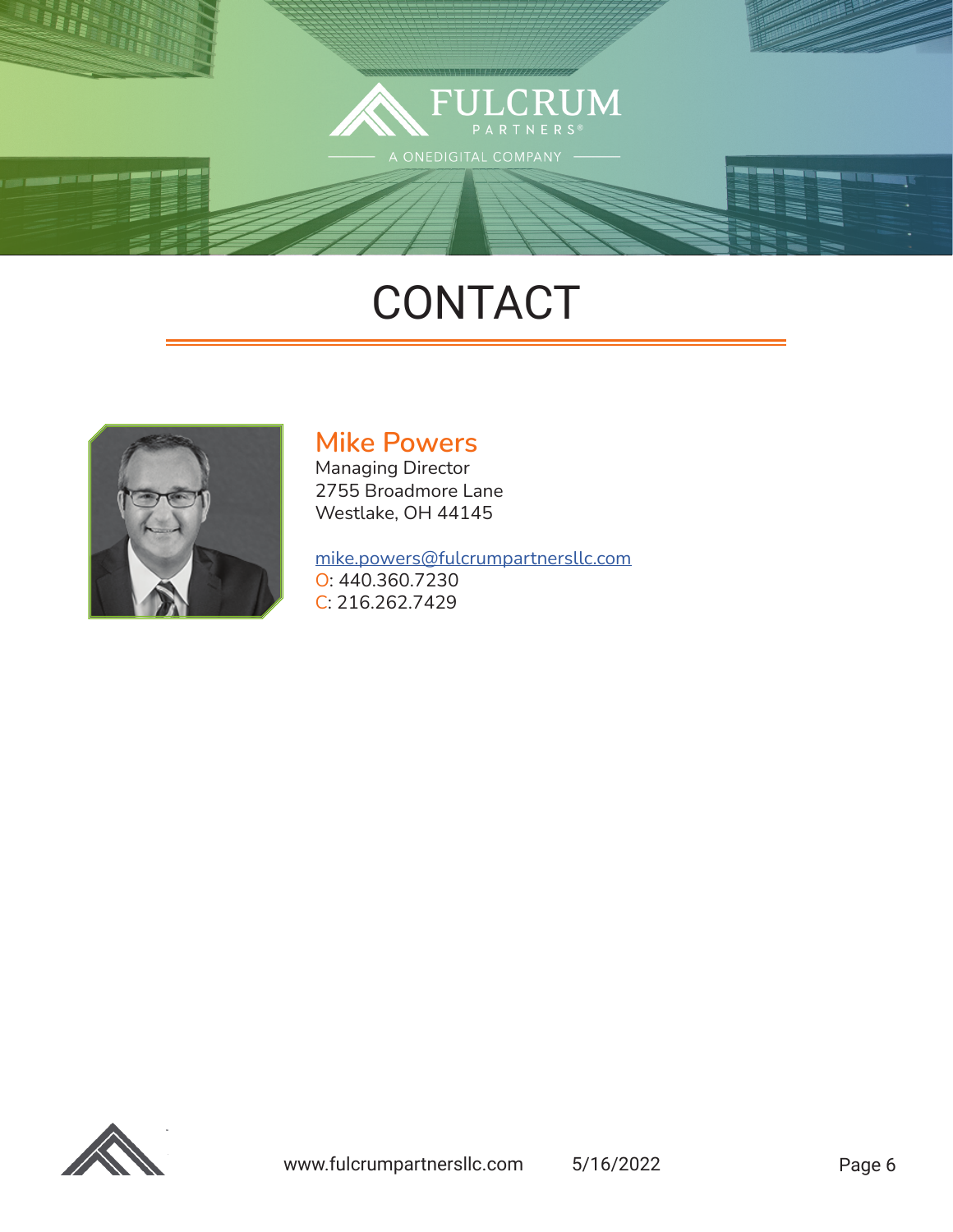

# **CONTACT**



### **Mike Powers**

Managing Director 2755 Broadmore Lane Westlake, OH 44145

#### [mike.powers@fulcrumpartnersllc.com](mailto:mike.powers%40fulcrumpartnersllc.com?subject=)

O: 440.360.7230 C: 216.262.7429

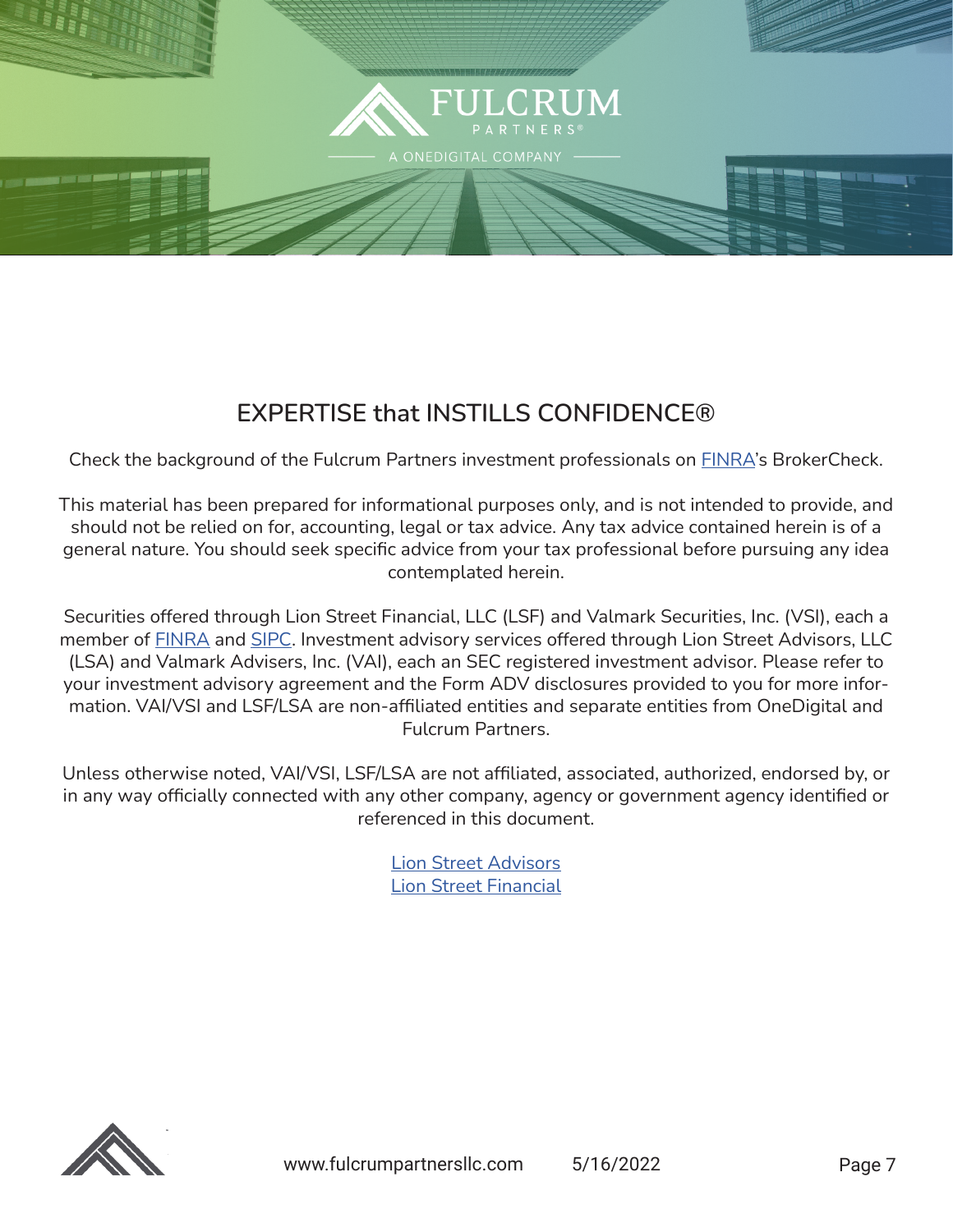

### **EXPERTISE that INSTILLS CONFIDENCE®**

Check the background of the Fulcrum Partners investment professionals on **[FINRA](http://www.finra.org)'s** BrokerCheck.

This material has been prepared for informational purposes only, and is not intended to provide, and should not be relied on for, accounting, legal or tax advice. Any tax advice contained herein is of a general nature. You should seek specific advice from your tax professional before pursuing any idea contemplated herein.

Securities offered through Lion Street Financial, LLC (LSF) and Valmark Securities, Inc. (VSI), each a member of **[FINRA](https://protect-us.mimecast.com/s/nxelC5yxV7HvZPxxUzsRgl?domain=nam10.safelinks.protection.outlook.com)** and **SIPC**. Investment advisory services offered through Lion Street Advisors, LLC (LSA) and Valmark Advisers, Inc. (VAI), each an SEC registered investment advisor. Please refer to your investment advisory agreement and the Form ADV disclosures provided to you for more information. VAI/VSI and LSF/LSA are non-affiliated entities and separate entities from OneDigital and Fulcrum Partners.

Unless otherwise noted, VAI/VSI, LSF/LSA are not affiliated, associated, authorized, endorsed by, or in any way officially connected with any other company, agency or government agency identified or referenced in this document.

> [Lion Street Advisors](https://lionstreet.com/wp-content/uploads/2021/05/Lion-Street-Advisors-Form-CRS-2020-10-30.pdf) [Lion Street Financial](https://lionstreet.com/wp-content/uploads/2021/05/Lion-Street-Financial-Form-CRS.pdf)